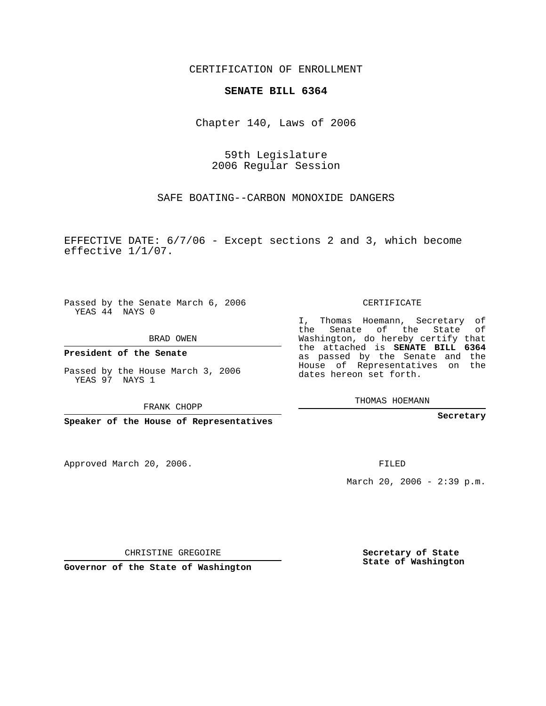CERTIFICATION OF ENROLLMENT

## **SENATE BILL 6364**

Chapter 140, Laws of 2006

59th Legislature 2006 Regular Session

SAFE BOATING--CARBON MONOXIDE DANGERS

EFFECTIVE DATE: 6/7/06 - Except sections 2 and 3, which become effective 1/1/07.

Passed by the Senate March 6, 2006 YEAS 44 NAYS 0

BRAD OWEN

**President of the Senate**

Passed by the House March 3, 2006 YEAS 97 NAYS 1

FRANK CHOPP

**Speaker of the House of Representatives**

Approved March 20, 2006.

CERTIFICATE

I, Thomas Hoemann, Secretary of the Senate of the State of Washington, do hereby certify that the attached is **SENATE BILL 6364** as passed by the Senate and the House of Representatives on the dates hereon set forth.

THOMAS HOEMANN

**Secretary**

FILED

March 20, 2006 -  $2:39$  p.m.

CHRISTINE GREGOIRE

**Governor of the State of Washington**

**Secretary of State State of Washington**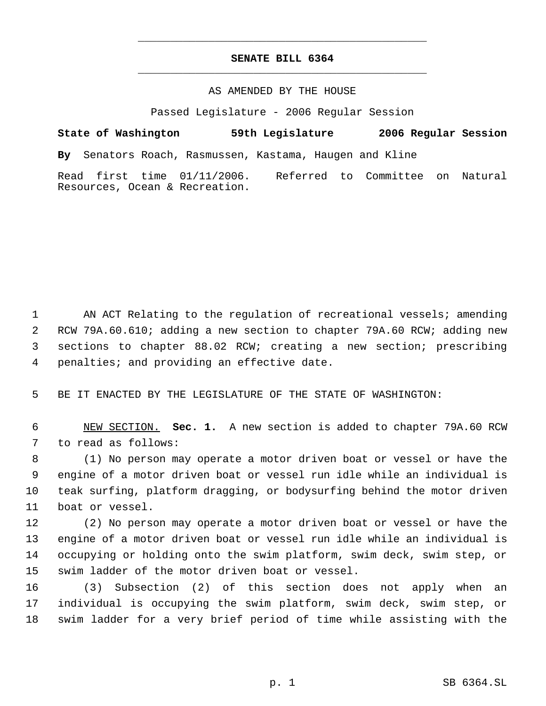## **SENATE BILL 6364** \_\_\_\_\_\_\_\_\_\_\_\_\_\_\_\_\_\_\_\_\_\_\_\_\_\_\_\_\_\_\_\_\_\_\_\_\_\_\_\_\_\_\_\_\_

\_\_\_\_\_\_\_\_\_\_\_\_\_\_\_\_\_\_\_\_\_\_\_\_\_\_\_\_\_\_\_\_\_\_\_\_\_\_\_\_\_\_\_\_\_

## AS AMENDED BY THE HOUSE

Passed Legislature - 2006 Regular Session

**State of Washington 59th Legislature 2006 Regular Session By** Senators Roach, Rasmussen, Kastama, Haugen and Kline Read first time 01/11/2006. Referred to Committee on Natural Resources, Ocean & Recreation.

1 AN ACT Relating to the regulation of recreational vessels; amending RCW 79A.60.610; adding a new section to chapter 79A.60 RCW; adding new sections to chapter 88.02 RCW; creating a new section; prescribing penalties; and providing an effective date.

BE IT ENACTED BY THE LEGISLATURE OF THE STATE OF WASHINGTON:

 NEW SECTION. **Sec. 1.** A new section is added to chapter 79A.60 RCW to read as follows:

 (1) No person may operate a motor driven boat or vessel or have the engine of a motor driven boat or vessel run idle while an individual is teak surfing, platform dragging, or bodysurfing behind the motor driven boat or vessel.

 (2) No person may operate a motor driven boat or vessel or have the engine of a motor driven boat or vessel run idle while an individual is occupying or holding onto the swim platform, swim deck, swim step, or swim ladder of the motor driven boat or vessel.

 (3) Subsection (2) of this section does not apply when an individual is occupying the swim platform, swim deck, swim step, or swim ladder for a very brief period of time while assisting with the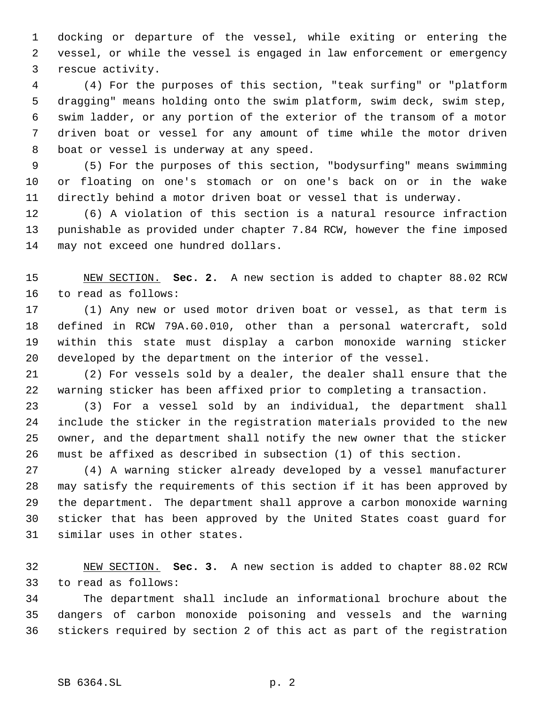docking or departure of the vessel, while exiting or entering the vessel, or while the vessel is engaged in law enforcement or emergency rescue activity.

 (4) For the purposes of this section, "teak surfing" or "platform dragging" means holding onto the swim platform, swim deck, swim step, swim ladder, or any portion of the exterior of the transom of a motor driven boat or vessel for any amount of time while the motor driven boat or vessel is underway at any speed.

 (5) For the purposes of this section, "bodysurfing" means swimming or floating on one's stomach or on one's back on or in the wake directly behind a motor driven boat or vessel that is underway.

 (6) A violation of this section is a natural resource infraction punishable as provided under chapter 7.84 RCW, however the fine imposed may not exceed one hundred dollars.

 NEW SECTION. **Sec. 2.** A new section is added to chapter 88.02 RCW to read as follows:

 (1) Any new or used motor driven boat or vessel, as that term is defined in RCW 79A.60.010, other than a personal watercraft, sold within this state must display a carbon monoxide warning sticker developed by the department on the interior of the vessel.

 (2) For vessels sold by a dealer, the dealer shall ensure that the warning sticker has been affixed prior to completing a transaction.

 (3) For a vessel sold by an individual, the department shall include the sticker in the registration materials provided to the new owner, and the department shall notify the new owner that the sticker must be affixed as described in subsection (1) of this section.

 (4) A warning sticker already developed by a vessel manufacturer may satisfy the requirements of this section if it has been approved by the department. The department shall approve a carbon monoxide warning sticker that has been approved by the United States coast guard for similar uses in other states.

 NEW SECTION. **Sec. 3.** A new section is added to chapter 88.02 RCW to read as follows:

 The department shall include an informational brochure about the dangers of carbon monoxide poisoning and vessels and the warning stickers required by section 2 of this act as part of the registration